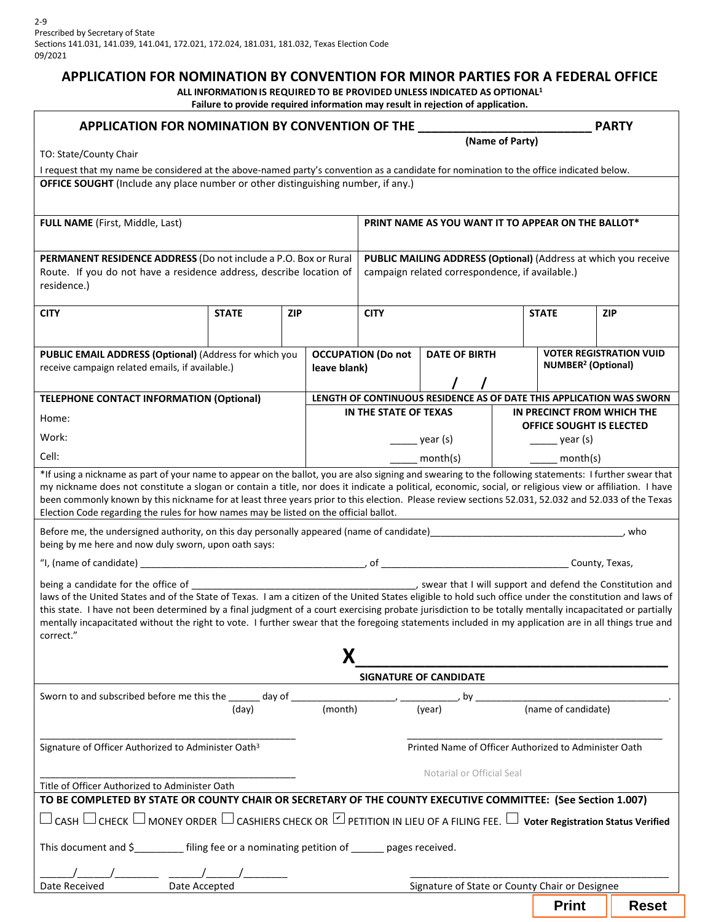# **APPLICATION FOR NOMINATION BY CONVENTION FOR MINOR PARTIES FOR A FEDERAL OFFICE**

**ALL INFORMATIONIS REQUIRED TO BE PROVIDED UNLESS INDICATED AS OPTIONAL1 Failure to provide required information may result in rejection of application.**

| APPLICATION FOR NOMINATION BY CONVENTION OF THE                                                                                                                                                                                                                                                                                                                                                                                                                                                                                                                     |                            |  |              |                                                                                                                    | ranare to provide required information may result in rejection or application. |  |                                                        | <b>PARTY</b> |  |  |  |
|---------------------------------------------------------------------------------------------------------------------------------------------------------------------------------------------------------------------------------------------------------------------------------------------------------------------------------------------------------------------------------------------------------------------------------------------------------------------------------------------------------------------------------------------------------------------|----------------------------|--|--------------|--------------------------------------------------------------------------------------------------------------------|--------------------------------------------------------------------------------|--|--------------------------------------------------------|--------------|--|--|--|
| (Name of Party)<br>TO: State/County Chair                                                                                                                                                                                                                                                                                                                                                                                                                                                                                                                           |                            |  |              |                                                                                                                    |                                                                                |  |                                                        |              |  |  |  |
| I request that my name be considered at the above-named party's convention as a candidate for nomination to the office indicated below.                                                                                                                                                                                                                                                                                                                                                                                                                             |                            |  |              |                                                                                                                    |                                                                                |  |                                                        |              |  |  |  |
| OFFICE SOUGHT (Include any place number or other distinguishing number, if any.)                                                                                                                                                                                                                                                                                                                                                                                                                                                                                    |                            |  |              |                                                                                                                    |                                                                                |  |                                                        |              |  |  |  |
|                                                                                                                                                                                                                                                                                                                                                                                                                                                                                                                                                                     |                            |  |              |                                                                                                                    |                                                                                |  |                                                        |              |  |  |  |
| FULL NAME (First, Middle, Last)                                                                                                                                                                                                                                                                                                                                                                                                                                                                                                                                     |                            |  |              |                                                                                                                    | PRINT NAME AS YOU WANT IT TO APPEAR ON THE BALLOT*                             |  |                                                        |              |  |  |  |
|                                                                                                                                                                                                                                                                                                                                                                                                                                                                                                                                                                     |                            |  |              |                                                                                                                    |                                                                                |  |                                                        |              |  |  |  |
| PERMANENT RESIDENCE ADDRESS (Do not include a P.O. Box or Rural<br>Route. If you do not have a residence address, describe location of<br>residence.)                                                                                                                                                                                                                                                                                                                                                                                                               |                            |  |              | PUBLIC MAILING ADDRESS (Optional) (Address at which you receive<br>campaign related correspondence, if available.) |                                                                                |  |                                                        |              |  |  |  |
| <b>CITY</b>                                                                                                                                                                                                                                                                                                                                                                                                                                                                                                                                                         | <b>STATE</b><br><b>ZIP</b> |  |              | <b>CITY</b>                                                                                                        |                                                                                |  | <b>STATE</b>                                           | <b>ZIP</b>   |  |  |  |
|                                                                                                                                                                                                                                                                                                                                                                                                                                                                                                                                                                     |                            |  |              |                                                                                                                    |                                                                                |  |                                                        |              |  |  |  |
| <b>VOTER REGISTRATION VUID</b><br><b>DATE OF BIRTH</b><br><b>OCCUPATION (Do not</b>                                                                                                                                                                                                                                                                                                                                                                                                                                                                                 |                            |  |              |                                                                                                                    |                                                                                |  |                                                        |              |  |  |  |
| PUBLIC EMAIL ADDRESS (Optional) (Address for which you<br>receive campaign related emails, if available.)                                                                                                                                                                                                                                                                                                                                                                                                                                                           |                            |  | leave blank) |                                                                                                                    |                                                                                |  | <b>NUMBER<sup>2</sup></b> (Optional)                   |              |  |  |  |
|                                                                                                                                                                                                                                                                                                                                                                                                                                                                                                                                                                     |                            |  |              |                                                                                                                    |                                                                                |  |                                                        |              |  |  |  |
| <b>TELEPHONE CONTACT INFORMATION (Optional)</b>                                                                                                                                                                                                                                                                                                                                                                                                                                                                                                                     |                            |  |              | LENGTH OF CONTINUOUS RESIDENCE AS OF DATE THIS APPLICATION WAS SWORN                                               |                                                                                |  |                                                        |              |  |  |  |
| Home:                                                                                                                                                                                                                                                                                                                                                                                                                                                                                                                                                               |                            |  |              | IN THE STATE OF TEXAS                                                                                              |                                                                                |  | IN PRECINCT FROM WHICH THE<br>OFFICE SOUGHT IS ELECTED |              |  |  |  |
| Work:                                                                                                                                                                                                                                                                                                                                                                                                                                                                                                                                                               |                            |  |              | year (s)                                                                                                           |                                                                                |  | $\frac{1}{\sqrt{2}}$ year (s)                          |              |  |  |  |
| Cell:                                                                                                                                                                                                                                                                                                                                                                                                                                                                                                                                                               |                            |  |              | $\mathsf{month}(\mathsf{s})$                                                                                       |                                                                                |  | month(s)                                               |              |  |  |  |
| *If using a nickname as part of your name to appear on the ballot, you are also signing and swearing to the following statements: I further swear that<br>my nickname does not constitute a slogan or contain a title, nor does it indicate a political, economic, social, or religious view or affiliation. I have<br>been commonly known by this nickname for at least three years prior to this election. Please review sections 52.031, 52.032 and 52.033 of the Texas<br>Election Code regarding the rules for how names may be listed on the official ballot. |                            |  |              |                                                                                                                    |                                                                                |  |                                                        |              |  |  |  |
| Before me, the undersigned authority, on this day personally appeared (name of candidate)<br>who<br>being by me here and now duly sworn, upon oath says:                                                                                                                                                                                                                                                                                                                                                                                                            |                            |  |              |                                                                                                                    |                                                                                |  |                                                        |              |  |  |  |
|                                                                                                                                                                                                                                                                                                                                                                                                                                                                                                                                                                     |                            |  |              |                                                                                                                    |                                                                                |  |                                                        |              |  |  |  |
| laws of the United States and of the State of Texas. I am a citizen of the United States eligible to hold such office under the constitution and laws of<br>this state. I have not been determined by a final judgment of a court exercising probate jurisdiction to be totally mentally incapacitated or partially<br>mentally incapacitated without the right to vote. I further swear that the foregoing statements included in my application are in all things true and<br>correct."                                                                           |                            |  |              |                                                                                                                    |                                                                                |  |                                                        |              |  |  |  |
| SIGNATURE OF CANDIDATE                                                                                                                                                                                                                                                                                                                                                                                                                                                                                                                                              |                            |  |              |                                                                                                                    |                                                                                |  |                                                        |              |  |  |  |
|                                                                                                                                                                                                                                                                                                                                                                                                                                                                                                                                                                     |                            |  |              |                                                                                                                    | $by_$                                                                          |  |                                                        |              |  |  |  |
|                                                                                                                                                                                                                                                                                                                                                                                                                                                                                                                                                                     | (day)                      |  | (month)      |                                                                                                                    | (vear)                                                                         |  | (name of candidate)                                    |              |  |  |  |
| Signature of Officer Authorized to Administer Oath <sup>3</sup>                                                                                                                                                                                                                                                                                                                                                                                                                                                                                                     |                            |  |              |                                                                                                                    | Printed Name of Officer Authorized to Administer Oath                          |  |                                                        |              |  |  |  |
|                                                                                                                                                                                                                                                                                                                                                                                                                                                                                                                                                                     |                            |  |              |                                                                                                                    |                                                                                |  |                                                        |              |  |  |  |
| Title of Officer Authorized to Administer Oath                                                                                                                                                                                                                                                                                                                                                                                                                                                                                                                      | Notarial or Official Seal  |  |              |                                                                                                                    |                                                                                |  |                                                        |              |  |  |  |
| TO BE COMPLETED BY STATE OR COUNTY CHAIR OR SECRETARY OF THE COUNTY EXECUTIVE COMMITTEE: (See Section 1.007)                                                                                                                                                                                                                                                                                                                                                                                                                                                        |                            |  |              |                                                                                                                    |                                                                                |  |                                                        |              |  |  |  |
| $\Box$ CASH $\Box$ CHECK $\Box$ MONEY ORDER $\Box$ CASHIERS CHECK OR $\Box$ PETITION IN LIEU OF A FILING FEE. $\Box$ Voter Registration Status Verified                                                                                                                                                                                                                                                                                                                                                                                                             |                            |  |              |                                                                                                                    |                                                                                |  |                                                        |              |  |  |  |
| This document and \$________ filing fee or a nominating petition of _____ pages received.                                                                                                                                                                                                                                                                                                                                                                                                                                                                           |                            |  |              |                                                                                                                    |                                                                                |  |                                                        |              |  |  |  |
|                                                                                                                                                                                                                                                                                                                                                                                                                                                                                                                                                                     |                            |  |              |                                                                                                                    |                                                                                |  |                                                        |              |  |  |  |
| Date Accepted<br>Date Received<br>Signature of State or County Chair or Designee                                                                                                                                                                                                                                                                                                                                                                                                                                                                                    |                            |  |              |                                                                                                                    |                                                                                |  |                                                        |              |  |  |  |
|                                                                                                                                                                                                                                                                                                                                                                                                                                                                                                                                                                     |                            |  |              |                                                                                                                    |                                                                                |  | <b>Print</b>                                           | <b>Reset</b> |  |  |  |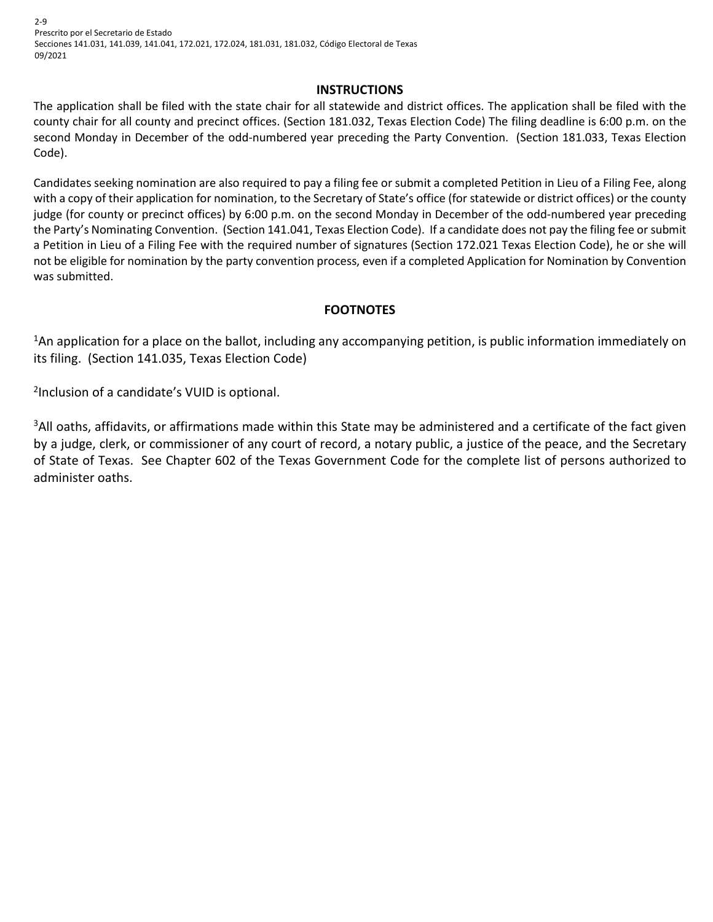2-9 Prescrito por el Secretario de Estado Secciones 141.031, 141.039, 141.041, 172.021, 172.024, 181.031, 181.032, Código Electoral de Texas 09/2021

#### **INSTRUCTIONS**

The application shall be filed with the state chair for all statewide and district offices. The application shall be filed with the county chair for all county and precinct offices. (Section 181.032, Texas Election Code) The filing deadline is 6:00 p.m. on the second Monday in December of the odd-numbered year preceding the Party Convention. (Section 181.033, Texas Election Code).

Candidates seeking nomination are also required to pay a filing fee or submit a completed Petition in Lieu of a Filing Fee, along with a copy of their application for nomination, to the Secretary of State's office (for statewide or district offices) or the county judge (for county or precinct offices) by 6:00 p.m. on the second Monday in December of the odd-numbered year preceding the Party's Nominating Convention. (Section 141.041, Texas Election Code). If a candidate does not pay the filing fee or submit a Petition in Lieu of a Filing Fee with the required number of signatures (Section 172.021 Texas Election Code), he or she will not be eligible for nomination by the party convention process, even if a completed Application for Nomination by Convention was submitted.

### **FOOTNOTES**

1An application for a place on the ballot, including any accompanying petition, is public information immediately on its filing. (Section 141.035, Texas Election Code)

2Inclusion of a candidate's VUID is optional.

<sup>3</sup>All oaths, affidavits, or affirmations made within this State may be administered and a certificate of the fact given by a judge, clerk, or commissioner of any court of record, a notary public, a justice of the peace, and the Secretary of State of Texas. See Chapter 602 of the Texas Government Code for the complete list of persons authorized to administer oaths.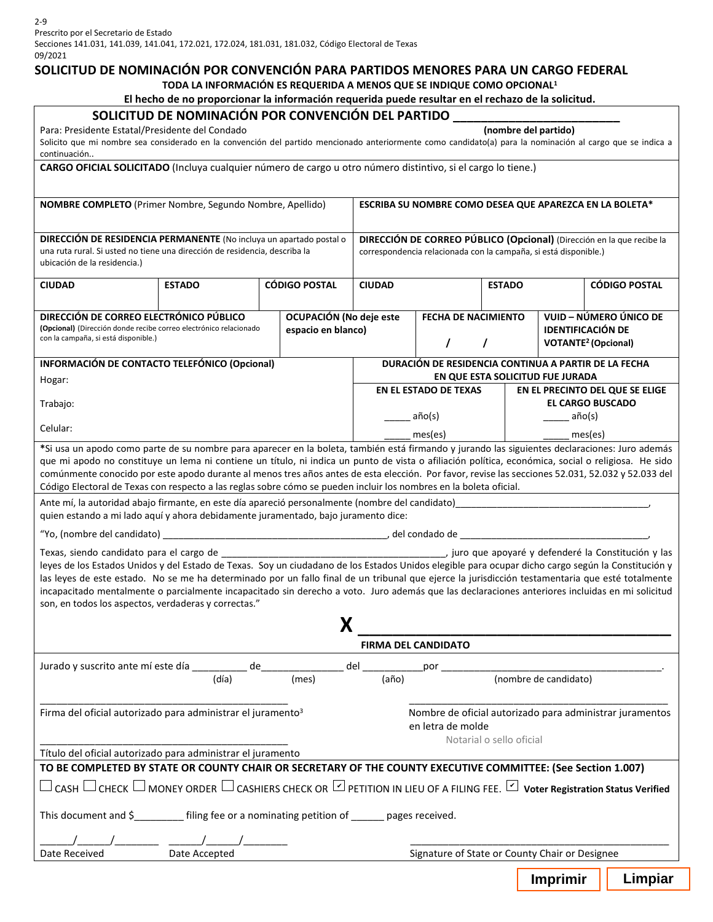Secciones 141.031, 141.039, 141.041, 172.021, 172.024, 181.031, 181.032, Código Electoral de Texas 09/2021

### **SOLICITUD DE NOMINACIÓN POR CONVENCIÓN PARA PARTIDOS MENORES PARA UN CARGO FEDERAL**

**TODA LA INFORMACIÓN ES REQUERIDA A MENOS QUE SE INDIQUE COMO OPCIONAL1** 

#### **El hecho de no proporcionar la información requerida puede resultar en el rechazo de la solicitud.**

|                                                                                                                                                                                                                                                                         | SOLICITUD DE NOMINACIÓN POR CONVENCIÓN DEL PARTIDO                    |                                                                                          |                                                                               |                                                         |                      |                                 |                                       |  |  |  |  |
|-------------------------------------------------------------------------------------------------------------------------------------------------------------------------------------------------------------------------------------------------------------------------|-----------------------------------------------------------------------|------------------------------------------------------------------------------------------|-------------------------------------------------------------------------------|---------------------------------------------------------|----------------------|---------------------------------|---------------------------------------|--|--|--|--|
| Para: Presidente Estatal/Presidente del Condado                                                                                                                                                                                                                         |                                                                       |                                                                                          |                                                                               |                                                         | (nombre del partido) |                                 |                                       |  |  |  |  |
| Solicito que mi nombre sea considerado en la convención del partido mencionado anteriormente como candidato(a) para la nominación al cargo que se indica a<br>continuación                                                                                              |                                                                       |                                                                                          |                                                                               |                                                         |                      |                                 |                                       |  |  |  |  |
| CARGO OFICIAL SOLICITADO (Incluya cualquier número de cargo u otro número distintivo, si el cargo lo tiene.)                                                                                                                                                            |                                                                       |                                                                                          |                                                                               |                                                         |                      |                                 |                                       |  |  |  |  |
|                                                                                                                                                                                                                                                                         |                                                                       |                                                                                          |                                                                               |                                                         |                      |                                 |                                       |  |  |  |  |
| NOMBRE COMPLETO (Primer Nombre, Segundo Nombre, Apellido)                                                                                                                                                                                                               |                                                                       |                                                                                          |                                                                               | ESCRIBA SU NOMBRE COMO DESEA QUE APAREZCA EN LA BOLETA* |                      |                                 |                                       |  |  |  |  |
|                                                                                                                                                                                                                                                                         |                                                                       |                                                                                          |                                                                               |                                                         |                      |                                 |                                       |  |  |  |  |
| <b>DIRECCIÓN DE RESIDENCIA PERMANENTE</b> (No incluya un apartado postal o                                                                                                                                                                                              | DIRECCIÓN DE CORREO PÚBLICO (Opcional) (Dirección en la que recibe la |                                                                                          |                                                                               |                                                         |                      |                                 |                                       |  |  |  |  |
| una ruta rural. Si usted no tiene una dirección de residencia, describa la<br>ubicación de la residencia.)                                                                                                                                                              | correspondencia relacionada con la campaña, si está disponible.)      |                                                                                          |                                                                               |                                                         |                      |                                 |                                       |  |  |  |  |
| <b>CIUDAD</b>                                                                                                                                                                                                                                                           | <b>ESTADO</b>                                                         | <b>CÓDIGO POSTAL</b>                                                                     | <b>CIUDAD</b>                                                                 |                                                         | <b>ESTADO</b>        |                                 | <b>CÓDIGO POSTAL</b>                  |  |  |  |  |
|                                                                                                                                                                                                                                                                         |                                                                       |                                                                                          |                                                                               |                                                         |                      |                                 |                                       |  |  |  |  |
| DIRECCIÓN DE CORREO ELECTRÓNICO PÚBLICO                                                                                                                                                                                                                                 |                                                                       | OCUPACIÓN (No deje este                                                                  |                                                                               | <b>FECHA DE NACIMIENTO</b>                              |                      | VUID – NÚMERO ÚNICO DE          |                                       |  |  |  |  |
| (Opcional) (Dirección donde recibe correo electrónico relacionado                                                                                                                                                                                                       |                                                                       | espacio en blanco)                                                                       |                                                                               |                                                         |                      | <b>IDENTIFICACIÓN DE</b>        |                                       |  |  |  |  |
| con la campaña, si está disponible.)                                                                                                                                                                                                                                    |                                                                       |                                                                                          |                                                                               |                                                         |                      |                                 | <b>VOTANTE<sup>2</sup></b> (Opcional) |  |  |  |  |
| INFORMACIÓN DE CONTACTO TELEFÓNICO (Opcional)                                                                                                                                                                                                                           |                                                                       | DURACIÓN DE RESIDENCIA CONTINUA A PARTIR DE LA FECHA<br>EN QUE ESTA SOLICITUD FUE JURADA |                                                                               |                                                         |                      |                                 |                                       |  |  |  |  |
| Hogar:                                                                                                                                                                                                                                                                  |                                                                       |                                                                                          |                                                                               | EN EL ESTADO DE TEXAS                                   |                      | EN EL PRECINTO DEL QUE SE ELIGE |                                       |  |  |  |  |
| Trabajo:                                                                                                                                                                                                                                                                |                                                                       |                                                                                          |                                                                               |                                                         |                      | <b>EL CARGO BUSCADO</b>         |                                       |  |  |  |  |
|                                                                                                                                                                                                                                                                         |                                                                       |                                                                                          |                                                                               | año(s)                                                  |                      | $a\tilde{p}o(s)$                |                                       |  |  |  |  |
| Celular:                                                                                                                                                                                                                                                                |                                                                       | mes(es)                                                                                  |                                                                               | mes(es)                                                 |                      |                                 |                                       |  |  |  |  |
| *Si usa un apodo como parte de su nombre para aparecer en la boleta, también está firmando y jurando las siguientes declaraciones: Juro además                                                                                                                          |                                                                       |                                                                                          |                                                                               |                                                         |                      |                                 |                                       |  |  |  |  |
| que mi apodo no constituye un lema ni contiene un título, ni indica un punto de vista o afiliación política, económica, social o religiosa. He sido                                                                                                                     |                                                                       |                                                                                          |                                                                               |                                                         |                      |                                 |                                       |  |  |  |  |
| comúnmente conocido por este apodo durante al menos tres años antes de esta elección. Por favor, revise las secciones 52.031, 52.032 y 52.033 del<br>Código Electoral de Texas con respecto a las reglas sobre cómo se pueden incluir los nombres en la boleta oficial. |                                                                       |                                                                                          |                                                                               |                                                         |                      |                                 |                                       |  |  |  |  |
| Ante mí, la autoridad abajo firmante, en este día apareció personalmente (nombre del candidato) en aparecera e                                                                                                                                                          |                                                                       |                                                                                          |                                                                               |                                                         |                      |                                 |                                       |  |  |  |  |
| quien estando a mi lado aquí y ahora debidamente juramentado, bajo juramento dice:                                                                                                                                                                                      |                                                                       |                                                                                          |                                                                               |                                                         |                      |                                 |                                       |  |  |  |  |
|                                                                                                                                                                                                                                                                         |                                                                       |                                                                                          |                                                                               |                                                         |                      |                                 |                                       |  |  |  |  |
|                                                                                                                                                                                                                                                                         |                                                                       |                                                                                          |                                                                               |                                                         |                      |                                 |                                       |  |  |  |  |
| leyes de los Estados Unidos y del Estado de Texas. Soy un ciudadano de los Estados Unidos elegible para ocupar dicho cargo según la Constitución y                                                                                                                      |                                                                       |                                                                                          |                                                                               |                                                         |                      |                                 |                                       |  |  |  |  |
| las leyes de este estado. No se me ha determinado por un fallo final de un tribunal que ejerce la jurisdicción testamentaria que esté totalmente                                                                                                                        |                                                                       |                                                                                          |                                                                               |                                                         |                      |                                 |                                       |  |  |  |  |
| incapacitado mentalmente o parcialmente incapacitado sin derecho a voto. Juro además que las declaraciones anteriores incluidas en mi solicitud<br>son, en todos los aspectos, verdaderas y correctas."                                                                 |                                                                       |                                                                                          |                                                                               |                                                         |                      |                                 |                                       |  |  |  |  |
|                                                                                                                                                                                                                                                                         |                                                                       |                                                                                          |                                                                               |                                                         |                      |                                 |                                       |  |  |  |  |
|                                                                                                                                                                                                                                                                         |                                                                       |                                                                                          |                                                                               |                                                         |                      |                                 |                                       |  |  |  |  |
|                                                                                                                                                                                                                                                                         |                                                                       |                                                                                          | <b>FIRMA DEL CANDIDATO</b>                                                    |                                                         |                      |                                 |                                       |  |  |  |  |
|                                                                                                                                                                                                                                                                         |                                                                       |                                                                                          |                                                                               |                                                         |                      |                                 |                                       |  |  |  |  |
|                                                                                                                                                                                                                                                                         | (día)                                                                 | (mes)                                                                                    | (año)                                                                         |                                                         |                      | (nombre de candidato)           |                                       |  |  |  |  |
|                                                                                                                                                                                                                                                                         |                                                                       |                                                                                          |                                                                               |                                                         |                      |                                 |                                       |  |  |  |  |
| Firma del oficial autorizado para administrar el juramento <sup>3</sup>                                                                                                                                                                                                 |                                                                       |                                                                                          | Nombre de oficial autorizado para administrar juramentos<br>en letra de molde |                                                         |                      |                                 |                                       |  |  |  |  |
|                                                                                                                                                                                                                                                                         |                                                                       |                                                                                          |                                                                               | Notarial o sello oficial                                |                      |                                 |                                       |  |  |  |  |
| Título del oficial autorizado para administrar el juramento                                                                                                                                                                                                             |                                                                       |                                                                                          |                                                                               |                                                         |                      |                                 |                                       |  |  |  |  |
| TO BE COMPLETED BY STATE OR COUNTY CHAIR OR SECRETARY OF THE COUNTY EXECUTIVE COMMITTEE: (See Section 1.007)                                                                                                                                                            |                                                                       |                                                                                          |                                                                               |                                                         |                      |                                 |                                       |  |  |  |  |
| $\Box$ CASH $\Box$ CHECK $\Box$ MONEY ORDER $\Box$ CASHIERS CHECK OR $\Box$ PETITION IN LIEU OF A FILING FEE. $\Box$ Voter Registration Status Verified                                                                                                                 |                                                                       |                                                                                          |                                                                               |                                                         |                      |                                 |                                       |  |  |  |  |
| This document and \$_________ filing fee or a nominating petition of ______ pages received.                                                                                                                                                                             |                                                                       |                                                                                          |                                                                               |                                                         |                      |                                 |                                       |  |  |  |  |
|                                                                                                                                                                                                                                                                         |                                                                       |                                                                                          |                                                                               |                                                         |                      |                                 |                                       |  |  |  |  |
| Date Received                                                                                                                                                                                                                                                           | Date Accepted                                                         | Signature of State or County Chair or Designee                                           |                                                                               |                                                         |                      |                                 |                                       |  |  |  |  |
|                                                                                                                                                                                                                                                                         |                                                                       |                                                                                          |                                                                               |                                                         |                      |                                 |                                       |  |  |  |  |
|                                                                                                                                                                                                                                                                         |                                                                       |                                                                                          |                                                                               |                                                         |                      | <b>Imprimir</b>                 | Limpiar                               |  |  |  |  |